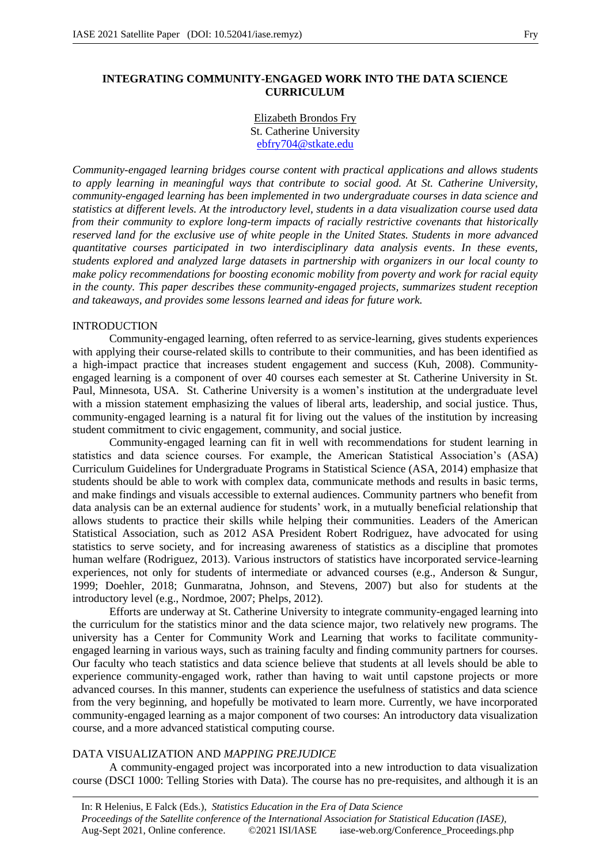# **INTEGRATING COMMUNITY-ENGAGED WORK INTO THE DATA SCIENCE CURRICULUM**

### Elizabeth Brondos Fry St. Catherine University ebfry704@stkate.edu

*Community-engaged learning bridges course content with practical applications and allows students to apply learning in meaningful ways that contribute to social good. At St. Catherine University, community-engaged learning has been implemented in two undergraduate courses in data science and statistics at different levels. At the introductory level, students in a data visualization course used data from their community to explore long-term impacts of racially restrictive covenants that historically reserved land for the exclusive use of white people in the United States. Students in more advanced quantitative courses participated in two interdisciplinary data analysis events. In these events, students explored and analyzed large datasets in partnership with organizers in our local county to make policy recommendations for boosting economic mobility from poverty and work for racial equity in the county. This paper describes these community-engaged projects, summarizes student reception and takeaways, and provides some lessons learned and ideas for future work.*

### INTRODUCTION

Community-engaged learning, often referred to as service-learning, gives students experiences with applying their course-related skills to contribute to their communities, and has been identified as a high-impact practice that increases student engagement and success (Kuh, 2008). Communityengaged learning is a component of over 40 courses each semester at St. Catherine University in St. Paul, Minnesota, USA. St. Catherine University is a women's institution at the undergraduate level with a mission statement emphasizing the values of liberal arts, leadership, and social justice. Thus, community-engaged learning is a natural fit for living out the values of the institution by increasing student commitment to civic engagement, community, and social justice.

Community-engaged learning can fit in well with recommendations for student learning in statistics and data science courses. For example, the American Statistical Association's (ASA) Curriculum Guidelines for Undergraduate Programs in Statistical Science (ASA, 2014) emphasize that students should be able to work with complex data, communicate methods and results in basic terms, and make findings and visuals accessible to external audiences. Community partners who benefit from data analysis can be an external audience for students' work, in a mutually beneficial relationship that allows students to practice their skills while helping their communities. Leaders of the American Statistical Association, such as 2012 ASA President Robert Rodriguez, have advocated for using statistics to serve society, and for increasing awareness of statistics as a discipline that promotes human welfare (Rodriguez, 2013). Various instructors of statistics have incorporated service-learning experiences, not only for students of intermediate or advanced courses (e.g., Anderson & Sungur, 1999; Doehler, 2018; Gunmaratna, Johnson, and Stevens, 2007) but also for students at the introductory level (e.g., Nordmoe, 2007; Phelps, 2012).

Efforts are underway at St. Catherine University to integrate community-engaged learning into the curriculum for the statistics minor and the data science major, two relatively new programs. The university has a Center for Community Work and Learning that works to facilitate communityengaged learning in various ways, such as training faculty and finding community partners for courses. Our faculty who teach statistics and data science believe that students at all levels should be able to experience community-engaged work, rather than having to wait until capstone projects or more advanced courses. In this manner, students can experience the usefulness of statistics and data science from the very beginning, and hopefully be motivated to learn more. Currently, we have incorporated community-engaged learning as a major component of two courses: An introductory data visualization course, and a more advanced statistical computing course.

### DATA VISUALIZATION AND *MAPPING PREJUDICE*

A community-engaged project was incorporated into a new introduction to data visualization course (DSCI 1000: Telling Stories with Data). The course has no pre-requisites, and although it is an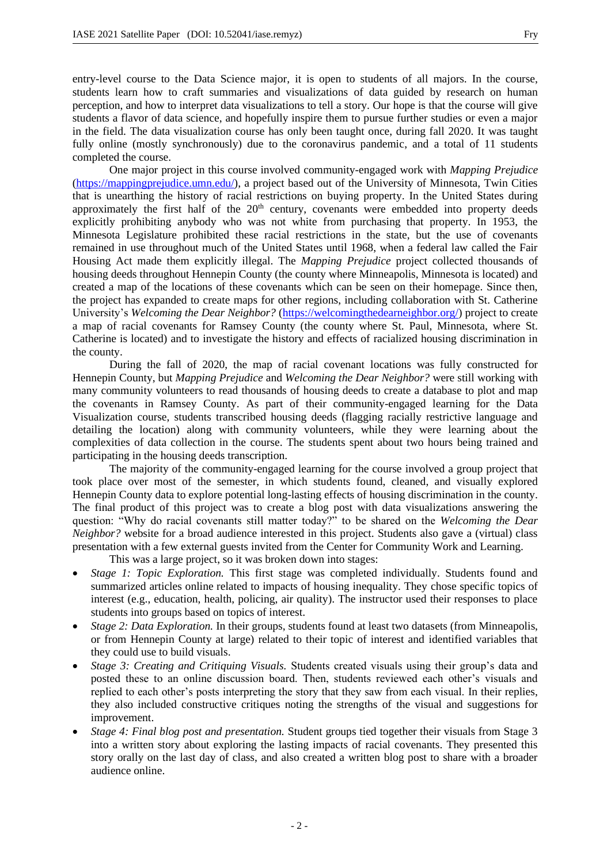entry-level course to the Data Science major, it is open to students of all majors. In the course, students learn how to craft summaries and visualizations of data guided by research on human perception, and how to interpret data visualizations to tell a story. Our hope is that the course will give students a flavor of data science, and hopefully inspire them to pursue further studies or even a major in the field. The data visualization course has only been taught once, during fall 2020. It was taught fully online (mostly synchronously) due to the coronavirus pandemic, and a total of 11 students completed the course.

One major project in this course involved community-engaged work with *Mapping Prejudice*  (https://mappingprejudice.umn.edu/), a project based out of the University of Minnesota, Twin Cities that is unearthing the history of racial restrictions on buying property. In the United States during approximately the first half of the  $20<sup>th</sup>$  century, covenants were embedded into property deeds explicitly prohibiting anybody who was not white from purchasing that property. In 1953, the Minnesota Legislature prohibited these racial restrictions in the state, but the use of covenants remained in use throughout much of the United States until 1968, when a federal law called the Fair Housing Act made them explicitly illegal. The *Mapping Prejudice* project collected thousands of housing deeds throughout Hennepin County (the county where Minneapolis, Minnesota is located) and created a map of the locations of these covenants which can be seen on their homepage. Since then, the project has expanded to create maps for other regions, including collaboration with St. Catherine University's *Welcoming the Dear Neighbor?* (https://welcomingthedearneighbor.org/) project to create a map of racial covenants for Ramsey County (the county where St. Paul, Minnesota, where St. Catherine is located) and to investigate the history and effects of racialized housing discrimination in the county.

During the fall of 2020, the map of racial covenant locations was fully constructed for Hennepin County, but *Mapping Prejudice* and *Welcoming the Dear Neighbor?* were still working with many community volunteers to read thousands of housing deeds to create a database to plot and map the covenants in Ramsey County. As part of their community-engaged learning for the Data Visualization course, students transcribed housing deeds (flagging racially restrictive language and detailing the location) along with community volunteers, while they were learning about the complexities of data collection in the course. The students spent about two hours being trained and participating in the housing deeds transcription.

The majority of the community-engaged learning for the course involved a group project that took place over most of the semester, in which students found, cleaned, and visually explored Hennepin County data to explore potential long-lasting effects of housing discrimination in the county. The final product of this project was to create a blog post with data visualizations answering the question: "Why do racial covenants still matter today?" to be shared on the *Welcoming the Dear Neighbor?* website for a broad audience interested in this project. Students also gave a (virtual) class presentation with a few external guests invited from the Center for Community Work and Learning.

This was a large project, so it was broken down into stages:

- *Stage 1: Topic Exploration.* This first stage was completed individually. Students found and summarized articles online related to impacts of housing inequality. They chose specific topics of interest (e.g., education, health, policing, air quality). The instructor used their responses to place students into groups based on topics of interest.
- *Stage 2: Data Exploration.* In their groups, students found at least two datasets (from Minneapolis, or from Hennepin County at large) related to their topic of interest and identified variables that they could use to build visuals.
- *Stage 3: Creating and Critiquing Visuals.* Students created visuals using their group's data and posted these to an online discussion board. Then, students reviewed each other's visuals and replied to each other's posts interpreting the story that they saw from each visual. In their replies, they also included constructive critiques noting the strengths of the visual and suggestions for improvement.
- *Stage 4: Final blog post and presentation.* Student groups tied together their visuals from Stage 3 into a written story about exploring the lasting impacts of racial covenants. They presented this story orally on the last day of class, and also created a written blog post to share with a broader audience online.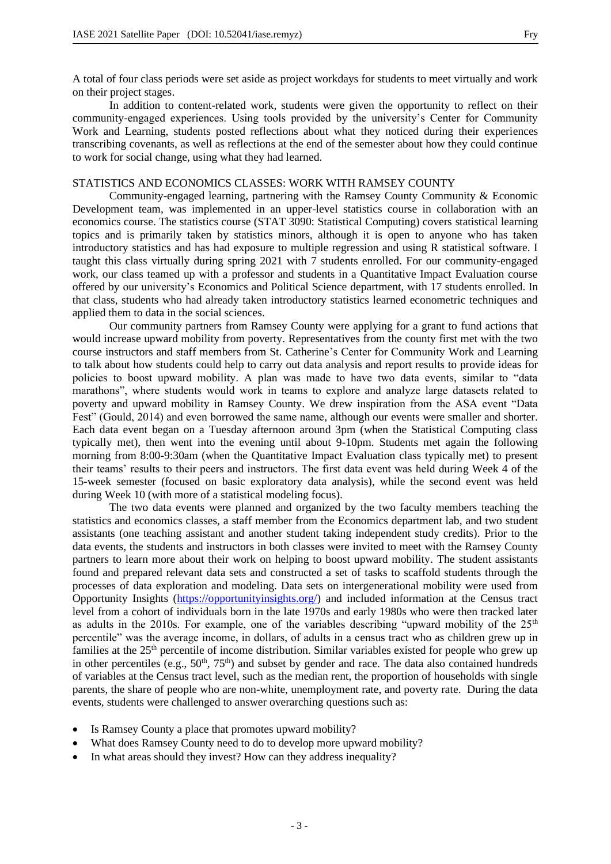A total of four class periods were set aside as project workdays for students to meet virtually and work on their project stages.

In addition to content-related work, students were given the opportunity to reflect on their community-engaged experiences. Using tools provided by the university's Center for Community Work and Learning, students posted reflections about what they noticed during their experiences transcribing covenants, as well as reflections at the end of the semester about how they could continue to work for social change, using what they had learned.

## STATISTICS AND ECONOMICS CLASSES: WORK WITH RAMSEY COUNTY

Community-engaged learning, partnering with the Ramsey County Community & Economic Development team, was implemented in an upper-level statistics course in collaboration with an economics course. The statistics course (STAT 3090: Statistical Computing) covers statistical learning topics and is primarily taken by statistics minors, although it is open to anyone who has taken introductory statistics and has had exposure to multiple regression and using R statistical software. I taught this class virtually during spring 2021 with 7 students enrolled. For our community-engaged work, our class teamed up with a professor and students in a Quantitative Impact Evaluation course offered by our university's Economics and Political Science department, with 17 students enrolled. In that class, students who had already taken introductory statistics learned econometric techniques and applied them to data in the social sciences.

Our community partners from Ramsey County were applying for a grant to fund actions that would increase upward mobility from poverty. Representatives from the county first met with the two course instructors and staff members from St. Catherine's Center for Community Work and Learning to talk about how students could help to carry out data analysis and report results to provide ideas for policies to boost upward mobility. A plan was made to have two data events, similar to "data marathons", where students would work in teams to explore and analyze large datasets related to poverty and upward mobility in Ramsey County. We drew inspiration from the ASA event "Data Fest" (Gould, 2014) and even borrowed the same name, although our events were smaller and shorter. Each data event began on a Tuesday afternoon around 3pm (when the Statistical Computing class typically met), then went into the evening until about 9-10pm. Students met again the following morning from 8:00-9:30am (when the Quantitative Impact Evaluation class typically met) to present their teams' results to their peers and instructors. The first data event was held during Week 4 of the 15-week semester (focused on basic exploratory data analysis), while the second event was held during Week 10 (with more of a statistical modeling focus).

The two data events were planned and organized by the two faculty members teaching the statistics and economics classes, a staff member from the Economics department lab, and two student assistants (one teaching assistant and another student taking independent study credits). Prior to the data events, the students and instructors in both classes were invited to meet with the Ramsey County partners to learn more about their work on helping to boost upward mobility. The student assistants found and prepared relevant data sets and constructed a set of tasks to scaffold students through the processes of data exploration and modeling. Data sets on intergenerational mobility were used from Opportunity Insights (https://opportunityinsights.org/) and included information at the Census tract level from a cohort of individuals born in the late 1970s and early 1980s who were then tracked later as adults in the 2010s. For example, one of the variables describing "upward mobility of the  $25<sup>th</sup>$ percentile" was the average income, in dollars, of adults in a census tract who as children grew up in families at the  $25<sup>th</sup>$  percentile of income distribution. Similar variables existed for people who grew up in other percentiles (e.g.,  $50<sup>th</sup>$ ,  $75<sup>th</sup>$ ) and subset by gender and race. The data also contained hundreds of variables at the Census tract level, such as the median rent, the proportion of households with single parents, the share of people who are non-white, unemployment rate, and poverty rate. During the data events, students were challenged to answer overarching questions such as:

- Is Ramsey County a place that promotes upward mobility?
- What does Ramsey County need to do to develop more upward mobility?
- In what areas should they invest? How can they address inequality?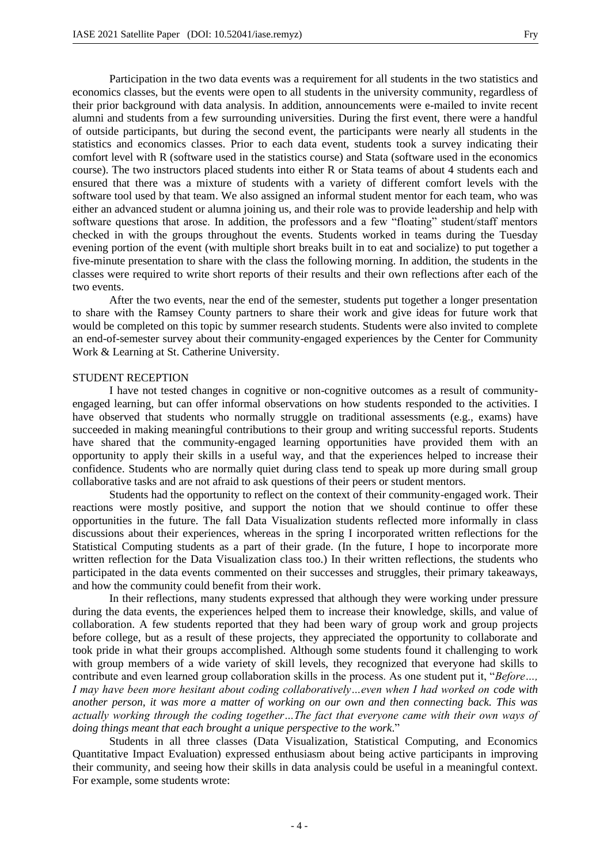Participation in the two data events was a requirement for all students in the two statistics and economics classes, but the events were open to all students in the university community, regardless of their prior background with data analysis. In addition, announcements were e-mailed to invite recent alumni and students from a few surrounding universities. During the first event, there were a handful of outside participants, but during the second event, the participants were nearly all students in the statistics and economics classes. Prior to each data event, students took a survey indicating their comfort level with R (software used in the statistics course) and Stata (software used in the economics course). The two instructors placed students into either R or Stata teams of about 4 students each and ensured that there was a mixture of students with a variety of different comfort levels with the software tool used by that team. We also assigned an informal student mentor for each team, who was either an advanced student or alumna joining us, and their role was to provide leadership and help with software questions that arose. In addition, the professors and a few "floating" student/staff mentors checked in with the groups throughout the events. Students worked in teams during the Tuesday evening portion of the event (with multiple short breaks built in to eat and socialize) to put together a five-minute presentation to share with the class the following morning. In addition, the students in the classes were required to write short reports of their results and their own reflections after each of the two events.

After the two events, near the end of the semester, students put together a longer presentation to share with the Ramsey County partners to share their work and give ideas for future work that would be completed on this topic by summer research students. Students were also invited to complete an end-of-semester survey about their community-engaged experiences by the Center for Community Work & Learning at St. Catherine University.

### STUDENT RECEPTION

I have not tested changes in cognitive or non-cognitive outcomes as a result of communityengaged learning, but can offer informal observations on how students responded to the activities. I have observed that students who normally struggle on traditional assessments (e.g., exams) have succeeded in making meaningful contributions to their group and writing successful reports. Students have shared that the community-engaged learning opportunities have provided them with an opportunity to apply their skills in a useful way, and that the experiences helped to increase their confidence. Students who are normally quiet during class tend to speak up more during small group collaborative tasks and are not afraid to ask questions of their peers or student mentors.

Students had the opportunity to reflect on the context of their community-engaged work. Their reactions were mostly positive, and support the notion that we should continue to offer these opportunities in the future. The fall Data Visualization students reflected more informally in class discussions about their experiences, whereas in the spring I incorporated written reflections for the Statistical Computing students as a part of their grade. (In the future, I hope to incorporate more written reflection for the Data Visualization class too.) In their written reflections, the students who participated in the data events commented on their successes and struggles, their primary takeaways, and how the community could benefit from their work.

In their reflections, many students expressed that although they were working under pressure during the data events, the experiences helped them to increase their knowledge, skills, and value of collaboration. A few students reported that they had been wary of group work and group projects before college, but as a result of these projects, they appreciated the opportunity to collaborate and took pride in what their groups accomplished. Although some students found it challenging to work with group members of a wide variety of skill levels, they recognized that everyone had skills to contribute and even learned group collaboration skills in the process. As one student put it, "*Before…, I may have been more hesitant about coding collaboratively…even when I had worked on code with another person, it was more a matter of working on our own and then connecting back. This was actually working through the coding together…The fact that everyone came with their own ways of doing things meant that each brought a unique perspective to the work*."

Students in all three classes (Data Visualization, Statistical Computing, and Economics Quantitative Impact Evaluation) expressed enthusiasm about being active participants in improving their community, and seeing how their skills in data analysis could be useful in a meaningful context. For example, some students wrote: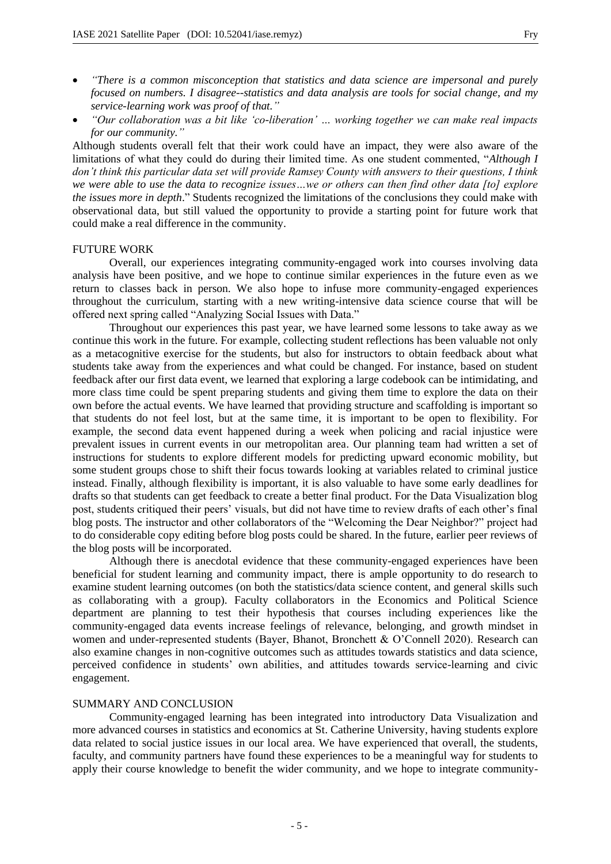- *"There is a common misconception that statistics and data science are impersonal and purely focused on numbers. I disagree--statistics and data analysis are tools for social change, and my service-learning work was proof of that."*
- *"Our collaboration was a bit like 'co-liberation' … working together we can make real impacts for our community."*

Although students overall felt that their work could have an impact, they were also aware of the limitations of what they could do during their limited time. As one student commented, "*Although I don't think this particular data set will provide Ramsey County with answers to their questions, I think we were able to use the data to recognize issues…we or others can then find other data [to] explore the issues more in depth*." Students recognized the limitations of the conclusions they could make with observational data, but still valued the opportunity to provide a starting point for future work that could make a real difference in the community.

### FUTURE WORK

Overall, our experiences integrating community-engaged work into courses involving data analysis have been positive, and we hope to continue similar experiences in the future even as we return to classes back in person. We also hope to infuse more community-engaged experiences throughout the curriculum, starting with a new writing-intensive data science course that will be offered next spring called "Analyzing Social Issues with Data."

Throughout our experiences this past year, we have learned some lessons to take away as we continue this work in the future. For example, collecting student reflections has been valuable not only as a metacognitive exercise for the students, but also for instructors to obtain feedback about what students take away from the experiences and what could be changed. For instance, based on student feedback after our first data event, we learned that exploring a large codebook can be intimidating, and more class time could be spent preparing students and giving them time to explore the data on their own before the actual events. We have learned that providing structure and scaffolding is important so that students do not feel lost, but at the same time, it is important to be open to flexibility. For example, the second data event happened during a week when policing and racial injustice were prevalent issues in current events in our metropolitan area. Our planning team had written a set of instructions for students to explore different models for predicting upward economic mobility, but some student groups chose to shift their focus towards looking at variables related to criminal justice instead. Finally, although flexibility is important, it is also valuable to have some early deadlines for drafts so that students can get feedback to create a better final product. For the Data Visualization blog post, students critiqued their peers' visuals, but did not have time to review drafts of each other's final blog posts. The instructor and other collaborators of the "Welcoming the Dear Neighbor?" project had to do considerable copy editing before blog posts could be shared. In the future, earlier peer reviews of the blog posts will be incorporated.

Although there is anecdotal evidence that these community-engaged experiences have been beneficial for student learning and community impact, there is ample opportunity to do research to examine student learning outcomes (on both the statistics/data science content, and general skills such as collaborating with a group). Faculty collaborators in the Economics and Political Science department are planning to test their hypothesis that courses including experiences like the community-engaged data events increase feelings of relevance, belonging, and growth mindset in women and under-represented students (Bayer, Bhanot, Bronchett & O'Connell 2020). Research can also examine changes in non-cognitive outcomes such as attitudes towards statistics and data science, perceived confidence in students' own abilities, and attitudes towards service-learning and civic engagement.

### SUMMARY AND CONCLUSION

Community-engaged learning has been integrated into introductory Data Visualization and more advanced courses in statistics and economics at St. Catherine University, having students explore data related to social justice issues in our local area. We have experienced that overall, the students, faculty, and community partners have found these experiences to be a meaningful way for students to apply their course knowledge to benefit the wider community, and we hope to integrate community